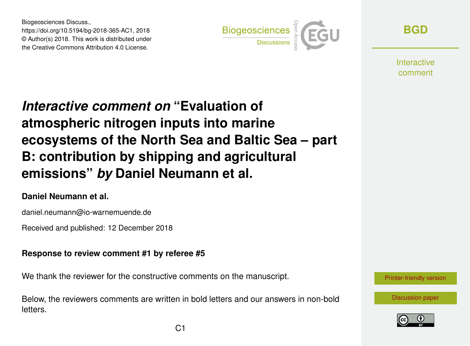Biogeosciences Discuss., https://doi.org/10.5194/bg-2018-365-AC1, 2018 © Author(s) 2018. This work is distributed under the Creative Commons Attribution 4.0 License.



**[BGD](https://www.biogeosciences-discuss.net/)**

**Interactive** comment

# *Interactive comment on* **"Evaluation of atmospheric nitrogen inputs into marine ecosystems of the North Sea and Baltic Sea – part B: contribution by shipping and agricultural emissions"** *by* **Daniel Neumann et al.**

### **Daniel Neumann et al.**

daniel.neumann@io-warnemuende.de

Received and published: 12 December 2018

#### **Response to review comment #1 by referee #5**

We thank the reviewer for the constructive comments on the manuscript.

Below, the reviewers comments are written in bold letters and our answers in non-bold letters.



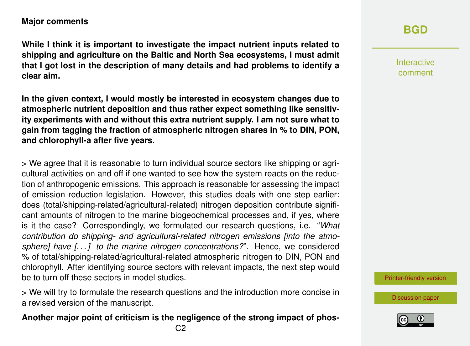#### **Major comments**

**While I think it is important to investigate the impact nutrient inputs related to shipping and agriculture on the Baltic and North Sea ecosystems, I must admit that I got lost in the description of many details and had problems to identify a clear aim.**

**In the given context, I would mostly be interested in ecosystem changes due to atmospheric nutrient deposition and thus rather expect something like sensitivity experiments with and without this extra nutrient supply. I am not sure what to gain from tagging the fraction of atmospheric nitrogen shares in % to DIN, PON, and chlorophyll-a after five years.**

> We agree that it is reasonable to turn individual source sectors like shipping or agricultural activities on and off if one wanted to see how the system reacts on the reduction of anthropogenic emissions. This approach is reasonable for assessing the impact of emission reduction legislation. However, this studies deals with one step earlier: does (total/shipping-related/agricultural-related) nitrogen deposition contribute significant amounts of nitrogen to the marine biogeochemical processes and, if yes, where is it the case? Correspondingly, we formulated our research questions, i.e. "*What contribution do shipping- and agricultural-related nitrogen emissions [into the atmosphere] have [. . . ] to the marine nitrogen concentrations?*". Hence, we considered % of total/shipping-related/agricultural-related atmospheric nitrogen to DIN, PON and chlorophyll. After identifying source sectors with relevant impacts, the next step would be to turn off these sectors in model studies.

> We will try to formulate the research questions and the introduction more concise in a revised version of the manuscript.

#### **Another major point of criticism is the negligence of the strong impact of phos-**

Interactive comment

[Printer-friendly version](https://www.biogeosciences-discuss.net/bg-2018-365/bg-2018-365-AC1-print.pdf)

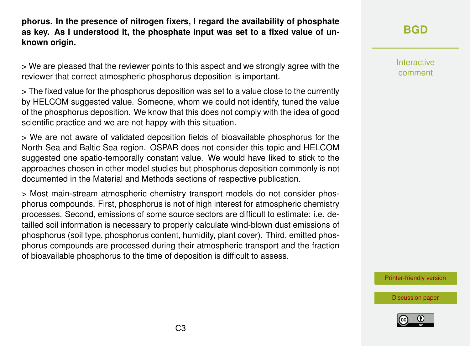**phorus. In the presence of nitrogen fixers, I regard the availability of phosphate as key. As I understood it, the phosphate input was set to a fixed value of unknown origin.**

> We are pleased that the reviewer points to this aspect and we strongly agree with the reviewer that correct atmospheric phosphorus deposition is important.

> The fixed value for the phosphorus deposition was set to a value close to the currently by HELCOM suggested value. Someone, whom we could not identify, tuned the value of the phosphorus deposition. We know that this does not comply with the idea of good scientific practice and we are not happy with this situation.

> We are not aware of validated deposition fields of bioavailable phosphorus for the North Sea and Baltic Sea region. OSPAR does not consider this topic and HELCOM suggested one spatio-temporally constant value. We would have liked to stick to the approaches chosen in other model studies but phosphorus deposition commonly is not documented in the Material and Methods sections of respective publication.

> Most main-stream atmospheric chemistry transport models do not consider phosphorus compounds. First, phosphorus is not of high interest for atmospheric chemistry processes. Second, emissions of some source sectors are difficult to estimate: i.e. detailled soil information is necessary to properly calculate wind-blown dust emissions of phosphorus (soil type, phosphorus content, humidity, plant cover). Third, emitted phosphorus compounds are processed during their atmospheric transport and the fraction of bioavailable phosphorus to the time of deposition is difficult to assess.

**[BGD](https://www.biogeosciences-discuss.net/)**

Interactive comment

[Printer-friendly version](https://www.biogeosciences-discuss.net/bg-2018-365/bg-2018-365-AC1-print.pdf)

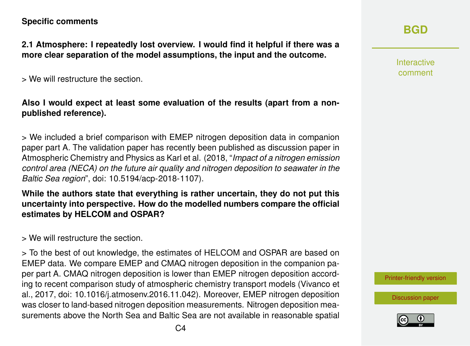#### **Specific comments**

**2.1 Atmosphere: I repeatedly lost overview. I would find it helpful if there was a more clear separation of the model assumptions, the input and the outcome.**

> We will restructure the section.

**Also I would expect at least some evaluation of the results (apart from a nonpublished reference).**

> We included a brief comparison with EMEP nitrogen deposition data in companion paper part A. The validation paper has recently been published as discussion paper in Atmospheric Chemistry and Physics as Karl et al. (2018, "*Impact of a nitrogen emission control area (NECA) on the future air quality and nitrogen deposition to seawater in the Baltic Sea region*", doi: [10.5194/acp-2018-1107\)](10.5194/acp-2018-1107).

**While the authors state that everything is rather uncertain, they do not put this uncertainty into perspective. How do the modelled numbers compare the official estimates by HELCOM and OSPAR?**

> We will restructure the section.

> To the best of out knowledge, the estimates of HELCOM and OSPAR are based on EMEP data. We compare EMEP and CMAQ nitrogen deposition in the companion paper part A. CMAQ nitrogen deposition is lower than EMEP nitrogen deposition according to recent comparison study of atmospheric chemistry transport models (Vivanco et al., 2017, doi: [10.1016/j.atmosenv.2016.11.042\)](10.1016/j.atmosenv.2016.11.042). Moreover, EMEP nitrogen deposition was closer to land-based nitrogen deposition measurements. Nitrogen deposition measurements above the North Sea and Baltic Sea are not available in reasonable spatial Interactive comment

[Printer-friendly version](https://www.biogeosciences-discuss.net/bg-2018-365/bg-2018-365-AC1-print.pdf)

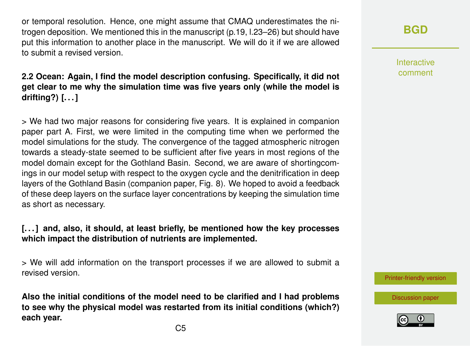or temporal resolution. Hence, one might assume that CMAQ underestimates the nitrogen deposition. We mentioned this in the manuscript (p.19, l.23–26) but should have put this information to another place in the manuscript. We will do it if we are allowed to submit a revised version.

#### **2.2 Ocean: Again, I find the model description confusing. Specifically, it did not get clear to me why the simulation time was five years only (while the model is drifting?) [. . . ]**

> We had two major reasons for considering five years. It is explained in companion paper part A. First, we were limited in the computing time when we performed the model simulations for the study. The convergence of the tagged atmospheric nitrogen towards a steady-state seemed to be sufficient after five years in most regions of the model domain except for the Gothland Basin. Second, we are aware of shortingcomings in our model setup with respect to the oxygen cycle and the denitrification in deep layers of the Gothland Basin (companion paper, Fig. 8). We hoped to avoid a feedback of these deep layers on the surface layer concentrations by keeping the simulation time as short as necessary.

#### **[. . . ] and, also, it should, at least briefly, be mentioned how the key processes which impact the distribution of nutrients are implemented.**

> We will add information on the transport processes if we are allowed to submit a revised version.

**Also the initial conditions of the model need to be clarified and I had problems to see why the physical model was restarted from its initial conditions (which?) each year.**

**[BGD](https://www.biogeosciences-discuss.net/)**

Interactive comment

[Printer-friendly version](https://www.biogeosciences-discuss.net/bg-2018-365/bg-2018-365-AC1-print.pdf)

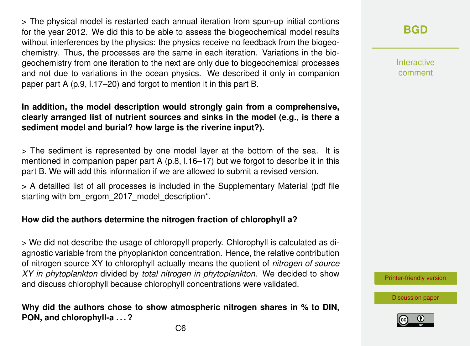> The physical model is restarted each annual iteration from spun-up initial contions for the year 2012. We did this to be able to assess the biogeochemical model results without interferences by the physics: the physics receive no feedback from the biogeochemistry. Thus, the processes are the same in each iteration. Variations in the biogeochemistry from one iteration to the next are only due to biogeochemical processes and not due to variations in the ocean physics. We described it only in companion paper part A (p.9, l.17–20) and forgot to mention it in this part B.

#### **In addition, the model description would strongly gain from a comprehensive, clearly arranged list of nutrient sources and sinks in the model (e.g., is there a sediment model and burial? how large is the riverine input?).**

> The sediment is represented by one model layer at the bottom of the sea. It is mentioned in companion paper part A (p.8, l.16–17) but we forgot to describe it in this part B. We will add this information if we are allowed to submit a revised version.

> A detailled list of all processes is included in the Supplementary Material (pdf file starting with [bm\\_ergom\\_2017\\_model\\_description\\*.](bm_ergom_2017_model_description*)

#### **How did the authors determine the nitrogen fraction of chlorophyll a?**

> We did not describe the usage of chloropyll properly. Chlorophyll is calculated as diagnostic variable from the phyoplankton concentration. Hence, the relative contribution of nitrogen source XY to chlorophyll actually means the quotient of *nitrogen of source XY in phytoplankton* divided by *total nitrogen in phytoplankton*. We decided to show and discuss chlorophyll because chlorophyll concentrations were validated.

#### **Why did the authors chose to show atmospheric nitrogen shares in % to DIN, PON, and chlorophyll-a . . . ?**

**[BGD](https://www.biogeosciences-discuss.net/)**

Interactive comment

[Printer-friendly version](https://www.biogeosciences-discuss.net/bg-2018-365/bg-2018-365-AC1-print.pdf)

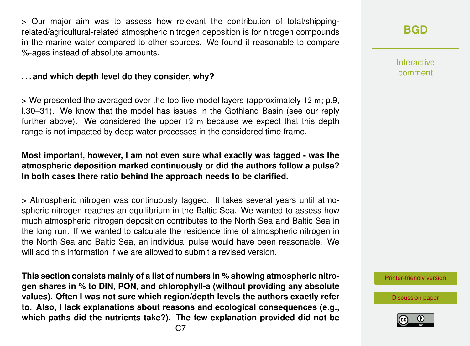> Our major aim was to assess how relevant the contribution of total/shippingrelated/agricultural-related atmospheric nitrogen deposition is for nitrogen compounds in the marine water compared to other sources. We found it reasonable to compare %-ages instead of absolute amounts.

#### **. . . and which depth level do they consider, why?**

 $>$  We presented the averaged over the top five model layers (approximately 12 m; p.9, l.30–31). We know that the model has issues in the Gothland Basin (see our reply further above). We considered the upper 12 m because we expect that this depth range is not impacted by deep water processes in the considered time frame.

#### **Most important, however, I am not even sure what exactly was tagged - was the atmospheric deposition marked continuously or did the authors follow a pulse? In both cases there ratio behind the approach needs to be clarified.**

> Atmospheric nitrogen was continuously tagged. It takes several years until atmospheric nitrogen reaches an equilibrium in the Baltic Sea. We wanted to assess how much atmospheric nitrogen deposition contributes to the North Sea and Baltic Sea in the long run. If we wanted to calculate the residence time of atmospheric nitrogen in the North Sea and Baltic Sea, an individual pulse would have been reasonable. We will add this information if we are allowed to submit a revised version.

**This section consists mainly of a list of numbers in % showing atmospheric nitrogen shares in % to DIN, PON, and chlorophyll-a (without providing any absolute values). Often I was not sure which region/depth levels the authors exactly refer to. Also, I lack explanations about reasons and ecological consequences (e.g., which paths did the nutrients take?). The few explanation provided did not be** Interactive comment

[Printer-friendly version](https://www.biogeosciences-discuss.net/bg-2018-365/bg-2018-365-AC1-print.pdf)